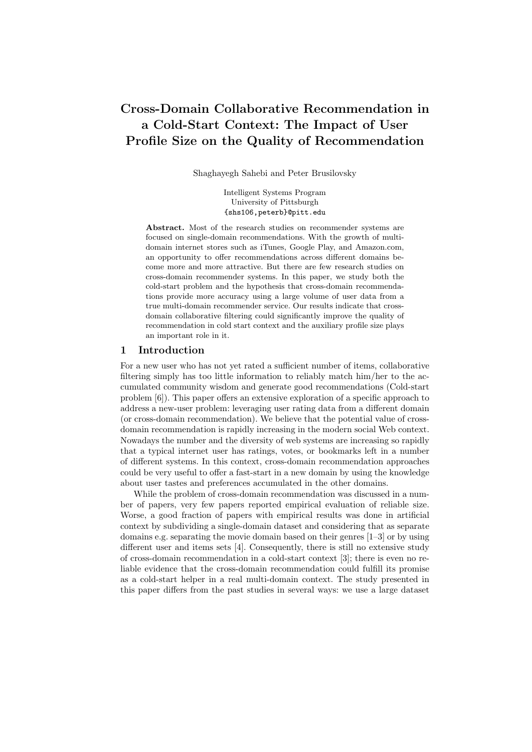# Cross-Domain Collaborative Recommendation in a Cold-Start Context: The Impact of User Profile Size on the Quality of Recommendation

Shaghayegh Sahebi and Peter Brusilovsky

Intelligent Systems Program University of Pittsburgh {shs106,peterb}@pitt.edu

Abstract. Most of the research studies on recommender systems are focused on single-domain recommendations. With the growth of multidomain internet stores such as iTunes, Google Play, and Amazon.com, an opportunity to offer recommendations across different domains become more and more attractive. But there are few research studies on cross-domain recommender systems. In this paper, we study both the cold-start problem and the hypothesis that cross-domain recommendations provide more accuracy using a large volume of user data from a true multi-domain recommender service. Our results indicate that crossdomain collaborative filtering could significantly improve the quality of recommendation in cold start context and the auxiliary profile size plays an important role in it.

#### 1 Introduction

For a new user who has not yet rated a sufficient number of items, collaborative filtering simply has too little information to reliably match him/her to the accumulated community wisdom and generate good recommendations (Cold-start problem [6]). This paper offers an extensive exploration of a specific approach to address a new-user problem: leveraging user rating data from a different domain (or cross-domain recommendation). We believe that the potential value of crossdomain recommendation is rapidly increasing in the modern social Web context. Nowadays the number and the diversity of web systems are increasing so rapidly that a typical internet user has ratings, votes, or bookmarks left in a number of different systems. In this context, cross-domain recommendation approaches could be very useful to offer a fast-start in a new domain by using the knowledge about user tastes and preferences accumulated in the other domains.

While the problem of cross-domain recommendation was discussed in a number of papers, very few papers reported empirical evaluation of reliable size. Worse, a good fraction of papers with empirical results was done in artificial context by subdividing a single-domain dataset and considering that as separate domains e.g. separating the movie domain based on their genres [1–3] or by using different user and items sets [4]. Consequently, there is still no extensive study of cross-domain recommendation in a cold-start context [3]; there is even no reliable evidence that the cross-domain recommendation could fulfill its promise as a cold-start helper in a real multi-domain context. The study presented in this paper differs from the past studies in several ways: we use a large dataset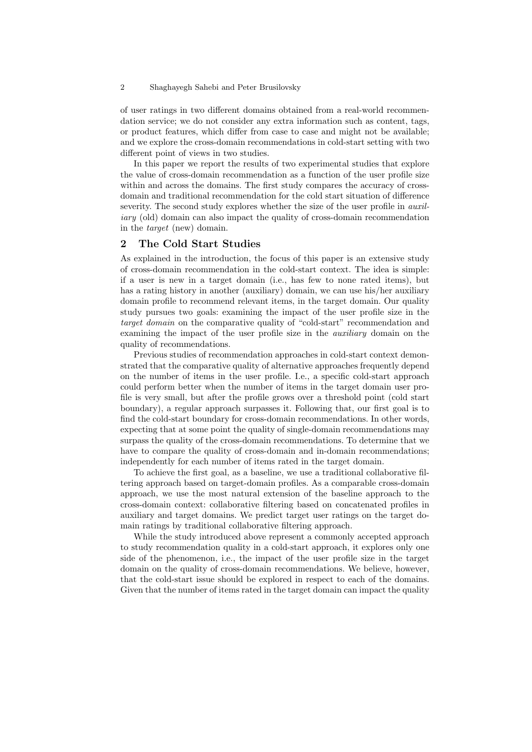#### 2 Shaghayegh Sahebi and Peter Brusilovsky

of user ratings in two different domains obtained from a real-world recommendation service; we do not consider any extra information such as content, tags, or product features, which differ from case to case and might not be available; and we explore the cross-domain recommendations in cold-start setting with two different point of views in two studies.

In this paper we report the results of two experimental studies that explore the value of cross-domain recommendation as a function of the user profile size within and across the domains. The first study compares the accuracy of crossdomain and traditional recommendation for the cold start situation of difference severity. The second study explores whether the size of the user profile in *auxil*iary (old) domain can also impact the quality of cross-domain recommendation in the target (new) domain.

## 2 The Cold Start Studies

As explained in the introduction, the focus of this paper is an extensive study of cross-domain recommendation in the cold-start context. The idea is simple: if a user is new in a target domain (i.e., has few to none rated items), but has a rating history in another (auxiliary) domain, we can use his/her auxiliary domain profile to recommend relevant items, in the target domain. Our quality study pursues two goals: examining the impact of the user profile size in the target domain on the comparative quality of "cold-start" recommendation and examining the impact of the user profile size in the auxiliary domain on the quality of recommendations.

Previous studies of recommendation approaches in cold-start context demonstrated that the comparative quality of alternative approaches frequently depend on the number of items in the user profile. I.e., a specific cold-start approach could perform better when the number of items in the target domain user profile is very small, but after the profile grows over a threshold point (cold start boundary), a regular approach surpasses it. Following that, our first goal is to find the cold-start boundary for cross-domain recommendations. In other words, expecting that at some point the quality of single-domain recommendations may surpass the quality of the cross-domain recommendations. To determine that we have to compare the quality of cross-domain and in-domain recommendations; independently for each number of items rated in the target domain.

To achieve the first goal, as a baseline, we use a traditional collaborative filtering approach based on target-domain profiles. As a comparable cross-domain approach, we use the most natural extension of the baseline approach to the cross-domain context: collaborative filtering based on concatenated profiles in auxiliary and target domains. We predict target user ratings on the target domain ratings by traditional collaborative filtering approach.

While the study introduced above represent a commonly accepted approach to study recommendation quality in a cold-start approach, it explores only one side of the phenomenon, i.e., the impact of the user profile size in the target domain on the quality of cross-domain recommendations. We believe, however, that the cold-start issue should be explored in respect to each of the domains. Given that the number of items rated in the target domain can impact the quality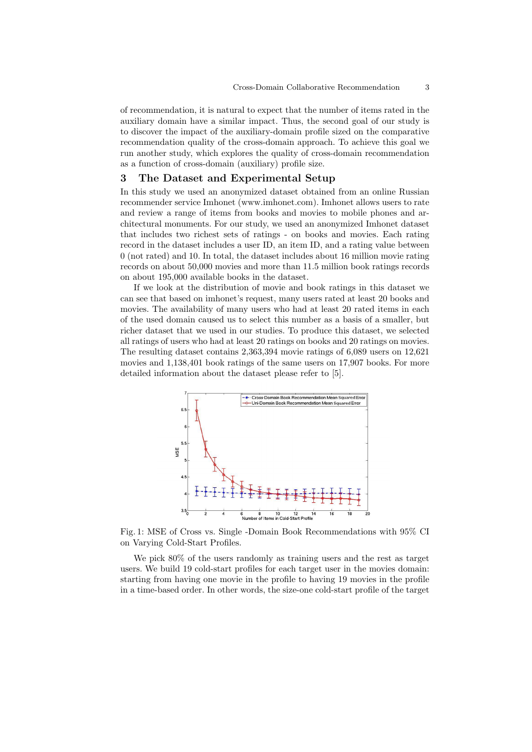of recommendation, it is natural to expect that the number of items rated in the auxiliary domain have a similar impact. Thus, the second goal of our study is to discover the impact of the auxiliary-domain profile sized on the comparative recommendation quality of the cross-domain approach. To achieve this goal we run another study, which explores the quality of cross-domain recommendation as a function of cross-domain (auxiliary) profile size.

## 3 The Dataset and Experimental Setup

In this study we used an anonymized dataset obtained from an online Russian recommender service Imhonet (www.imhonet.com). Imhonet allows users to rate and review a range of items from books and movies to mobile phones and architectural monuments. For our study, we used an anonymized Imhonet dataset that includes two richest sets of ratings - on books and movies. Each rating record in the dataset includes a user ID, an item ID, and a rating value between 0 (not rated) and 10. In total, the dataset includes about 16 million movie rating records on about 50,000 movies and more than 11.5 million book ratings records on about 195,000 available books in the dataset.

If we look at the distribution of movie and book ratings in this dataset we can see that based on imhonet's request, many users rated at least 20 books and movies. The availability of many users who had at least 20 rated items in each of the used domain caused us to select this number as a basis of a smaller, but richer dataset that we used in our studies. To produce this dataset, we selected all ratings of users who had at least 20 ratings on books and 20 ratings on movies. The resulting dataset contains 2,363,394 movie ratings of 6,089 users on 12,621 movies and 1,138,401 book ratings of the same users on 17,907 books. For more detailed information about the dataset please refer to [5].



Fig. 1: MSE of Cross vs. Single -Domain Book Recommendations with 95% CI on Varying Cold-Start Profiles.

We pick 80% of the users randomly as training users and the rest as target users. We build 19 cold-start profiles for each target user in the movies domain: starting from having one movie in the profile to having 19 movies in the profile in a time-based order. In other words, the size-one cold-start profile of the target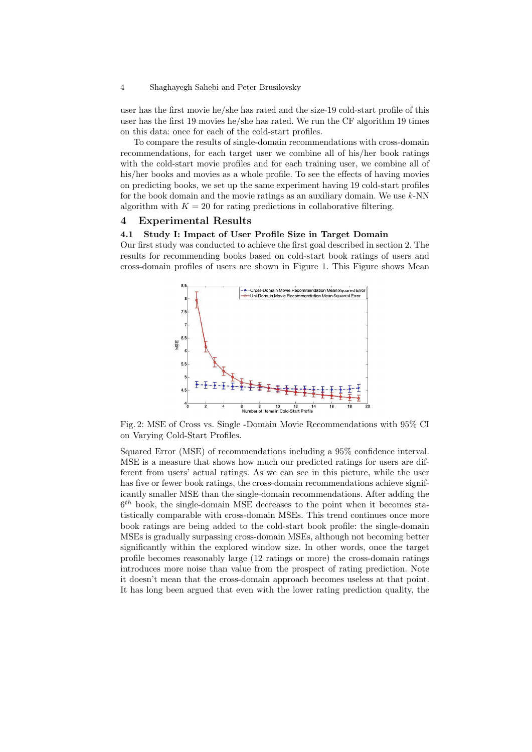#### 4 Shaghayegh Sahebi and Peter Brusilovsky

user has the first movie he/she has rated and the size-19 cold-start profile of this user has the first 19 movies he/she has rated. We run the CF algorithm 19 times on this data: once for each of the cold-start profiles.

To compare the results of single-domain recommendations with cross-domain recommendations, for each target user we combine all of his/her book ratings with the cold-start movie profiles and for each training user, we combine all of his/her books and movies as a whole profile. To see the effects of having movies on predicting books, we set up the same experiment having 19 cold-start profiles for the book domain and the movie ratings as an auxiliary domain. We use  $k$ -NN algorithm with  $K = 20$  for rating predictions in collaborative filtering.

#### 4 Experimental Results

#### 4.1 Study I: Impact of User Profile Size in Target Domain

Our first study was conducted to achieve the first goal described in section 2. The results for recommending books based on cold-start book ratings of users and cross-domain profiles of users are shown in Figure 1. This Figure shows Mean



Fig. 2: MSE of Cross vs. Single -Domain Movie Recommendations with 95% CI on Varying Cold-Start Profiles.

Squared Error (MSE) of recommendations including a 95% confidence interval. MSE is a measure that shows how much our predicted ratings for users are different from users' actual ratings. As we can see in this picture, while the user has five or fewer book ratings, the cross-domain recommendations achieve significantly smaller MSE than the single-domain recommendations. After adding the  $6<sup>th</sup>$  book, the single-domain MSE decreases to the point when it becomes statistically comparable with cross-domain MSEs. This trend continues once more book ratings are being added to the cold-start book profile: the single-domain MSEs is gradually surpassing cross-domain MSEs, although not becoming better significantly within the explored window size. In other words, once the target profile becomes reasonably large (12 ratings or more) the cross-domain ratings introduces more noise than value from the prospect of rating prediction. Note it doesn't mean that the cross-domain approach becomes useless at that point. It has long been argued that even with the lower rating prediction quality, the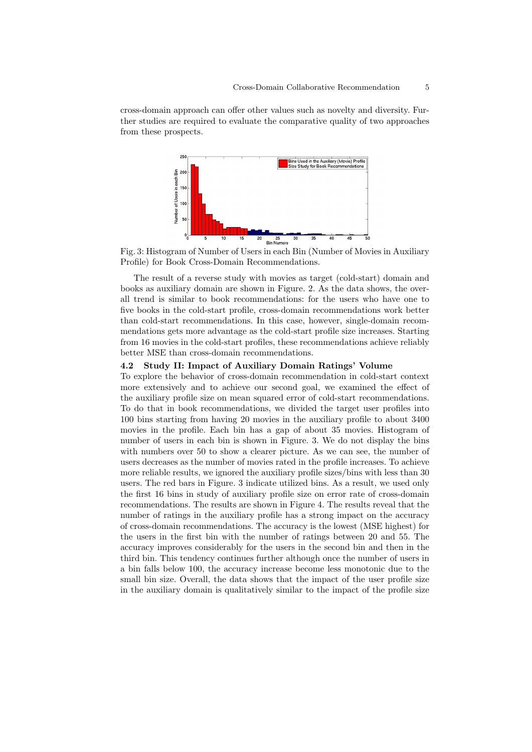cross-domain approach can offer other values such as novelty and diversity. Further studies are required to evaluate the comparative quality of two approaches from these prospects.



Fig. 3: Histogram of Number of Users in each Bin (Number of Movies in Auxiliary Profile) for Book Cross-Domain Recommendations.

The result of a reverse study with movies as target (cold-start) domain and books as auxiliary domain are shown in Figure. 2. As the data shows, the overall trend is similar to book recommendations: for the users who have one to five books in the cold-start profile, cross-domain recommendations work better than cold-start recommendations. In this case, however, single-domain recommendations gets more advantage as the cold-start profile size increases. Starting from 16 movies in the cold-start profiles, these recommendations achieve reliably better MSE than cross-domain recommendations.

## 4.2 Study II: Impact of Auxiliary Domain Ratings' Volume

To explore the behavior of cross-domain recommendation in cold-start context more extensively and to achieve our second goal, we examined the effect of the auxiliary profile size on mean squared error of cold-start recommendations. To do that in book recommendations, we divided the target user profiles into 100 bins starting from having 20 movies in the auxiliary profile to about 3400 movies in the profile. Each bin has a gap of about 35 movies. Histogram of number of users in each bin is shown in Figure. 3. We do not display the bins with numbers over 50 to show a clearer picture. As we can see, the number of users decreases as the number of movies rated in the profile increases. To achieve more reliable results, we ignored the auxiliary profile sizes/bins with less than 30 users. The red bars in Figure. 3 indicate utilized bins. As a result, we used only the first 16 bins in study of auxiliary profile size on error rate of cross-domain recommendations. The results are shown in Figure 4. The results reveal that the number of ratings in the auxiliary profile has a strong impact on the accuracy of cross-domain recommendations. The accuracy is the lowest (MSE highest) for the users in the first bin with the number of ratings between 20 and 55. The accuracy improves considerably for the users in the second bin and then in the third bin. This tendency continues further although once the number of users in a bin falls below 100, the accuracy increase become less monotonic due to the small bin size. Overall, the data shows that the impact of the user profile size in the auxiliary domain is qualitatively similar to the impact of the profile size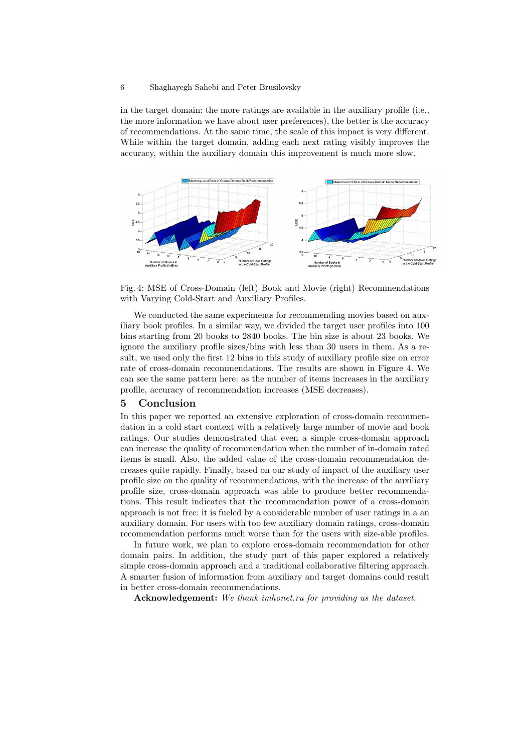#### 6 Shaghayegh Sahebi and Peter Brusilovsky

in the target domain: the more ratings are available in the auxiliary profile (i.e., the more information we have about user preferences), the better is the accuracy of recommendations. At the same time, the scale of this impact is very different. While within the target domain, adding each next rating visibly improves the accuracy, within the auxiliary domain this improvement is much more slow.



Fig. 4: MSE of Cross-Domain (left) Book and Movie (right) Recommendations with Varying Cold-Start and Auxiliary Profiles.

We conducted the same experiments for recommending movies based on auxiliary book profiles. In a similar way, we divided the target user profiles into 100 bins starting from 20 books to 2840 books. The bin size is about 23 books. We ignore the auxiliary profile sizes/bins with less than 30 users in them. As a result, we used only the first 12 bins in this study of auxiliary profile size on error rate of cross-domain recommendations. The results are shown in Figure 4. We can see the same pattern here: as the number of items increases in the auxiliary profile, accuracy of recommendation increases (MSE decreases).

#### 5 Conclusion

In this paper we reported an extensive exploration of cross-domain recommendation in a cold start context with a relatively large number of movie and book ratings. Our studies demonstrated that even a simple cross-domain approach can increase the quality of recommendation when the number of in-domain rated items is small. Also, the added value of the cross-domain recommendation decreases quite rapidly. Finally, based on our study of impact of the auxiliary user profile size on the quality of recommendations, with the increase of the auxiliary profile size, cross-domain approach was able to produce better recommendations. This result indicates that the recommendation power of a cross-domain approach is not free: it is fueled by a considerable number of user ratings in a an auxiliary domain. For users with too few auxiliary domain ratings, cross-domain recommendation performs much worse than for the users with size-able profiles.

In future work, we plan to explore cross-domain recommendation for other domain pairs. In addition, the study part of this paper explored a relatively simple cross-domain approach and a traditional collaborative filtering approach. A smarter fusion of information from auxiliary and target domains could result in better cross-domain recommendations.

Acknowledgement: We thank imhonet.ru for providing us the dataset.